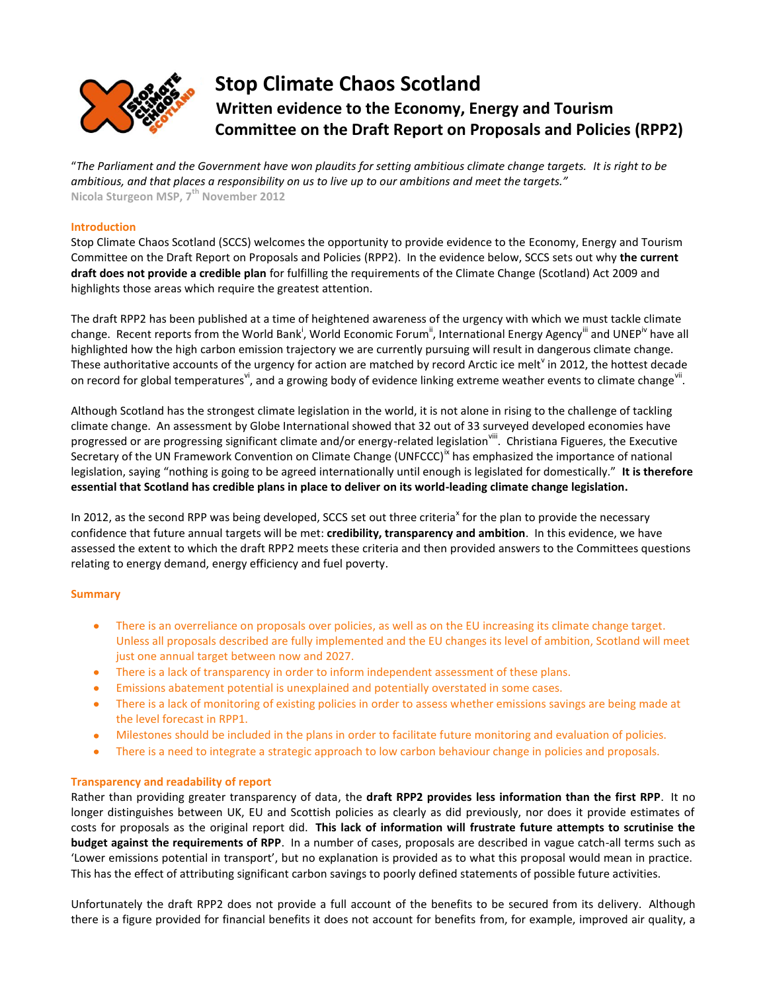

# **Stop Climate Chaos Scotland Written evidence to the Economy, Energy and Tourism Committee on the Draft Report on Proposals and Policies (RPP2)**

"*The Parliament and the Government have won plaudits for setting ambitious climate change targets. It is right to be ambitious, and that places a responsibility on us to live up to our ambitions and meet the targets."* **Nicola Sturgeon MSP, 7th November 2012**

# **Introduction**

Stop Climate Chaos Scotland (SCCS) welcomes the opportunity to provide evidence to the Economy, Energy and Tourism Committee on the Draft Report on Proposals and Policies (RPP2). In the evidence below, SCCS sets out why **the current draft does not provide a credible plan** for fulfilling the requirements of the Climate Change (Scotland) Act 2009 and highlights those areas which require the greatest attention.

The draft RPP2 has been published at a time of heightened awareness of the urgency with which we must tackle climate change. Recent reports from the World Bank<sup>i</sup>, World Economic Forum<sup>"</sup>, International Energy Agency<sup>'"</sup> and UNEP<sup>iv</sup> have all highlighted how the high carbon emission trajectory we are currently pursuing will result in dangerous climate change. These authoritative accounts of the urgency for action are matched by record Arctic ice melt<sup>v</sup> in 2012, the hottest decade on record for global temperatures<sup>vi</sup>, and a growing body of evidence linking extreme weather events to climate change<sup>vii</sup>.

Although Scotland has the strongest climate legislation in the world, it is not alone in rising to the challenge of tackling climate change. An assessment by Globe International showed that 32 out of 33 surveyed developed economies have progressed or are progressing significant climate and/or energy-related legislation<sup>viii</sup>. Christiana Figueres, the Executive Secretary of the UN Framework Convention on Climate Change (UNFCCC)<sup>"</sup> has emphasized the importance of national legislation, saying "nothing is going to be agreed internationally until enough is legislated for domestically." **It is therefore essential that Scotland has credible plans in place to deliver on its world-leading climate change legislation.**

In 2012, as the second RPP was being developed, SCCS set out three criteria<sup>x</sup> for the plan to provide the necessary confidence that future annual targets will be met: **credibility, transparency and ambition**. In this evidence, we have assessed the extent to which the draft RPP2 meets these criteria and then provided answers to the Committees questions relating to energy demand, energy efficiency and fuel poverty.

# **Summary**

- There is an overreliance on proposals over policies, as well as on the EU increasing its climate change target.  $\bullet$ Unless all proposals described are fully implemented and the EU changes its level of ambition, Scotland will meet just one annual target between now and 2027.
- There is a lack of transparency in order to inform independent assessment of these plans.
- Emissions abatement potential is unexplained and potentially overstated in some cases.  $\bullet$  .
- $\bullet$ There is a lack of monitoring of existing policies in order to assess whether emissions savings are being made at the level forecast in RPP1.
- $\bullet$ Milestones should be included in the plans in order to facilitate future monitoring and evaluation of policies.
- $\bullet$ There is a need to integrate a strategic approach to low carbon behaviour change in policies and proposals.

# **Transparency and readability of report**

Rather than providing greater transparency of data, the **draft RPP2 provides less information than the first RPP**. It no longer distinguishes between UK, EU and Scottish policies as clearly as did previously, nor does it provide estimates of costs for proposals as the original report did. **This lack of information will frustrate future attempts to scrutinise the budget against the requirements of RPP**. In a number of cases, proposals are described in vague catch-all terms such as 'Lower emissions potential in transport', but no explanation is provided as to what this proposal would mean in practice. This has the effect of attributing significant carbon savings to poorly defined statements of possible future activities.

Unfortunately the draft RPP2 does not provide a full account of the benefits to be secured from its delivery. Although there is a figure provided for financial benefits it does not account for benefits from, for example, improved air quality, a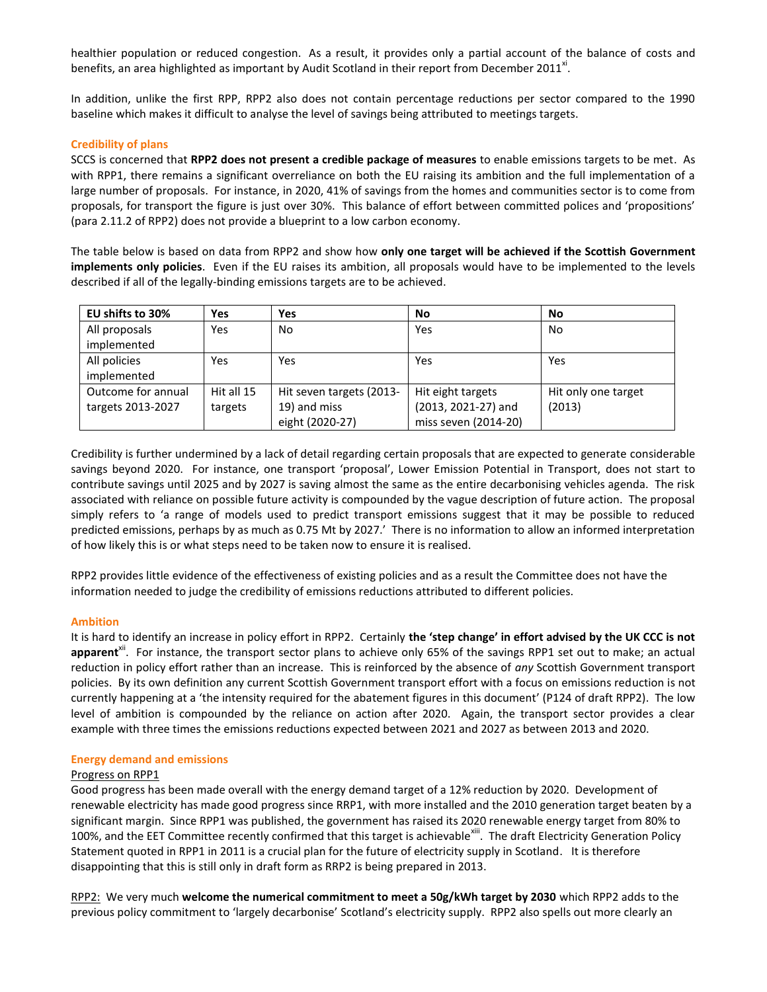healthier population or reduced congestion. As a result, it provides only a partial account of the balance of costs and benefits, an area highlighted as important by Audit Scotland in their report from December 2011<sup>xi</sup>.

In addition, unlike the first RPP, RPP2 also does not contain percentage reductions per sector compared to the 1990 baseline which makes it difficult to analyse the level of savings being attributed to meetings targets.

# **Credibility of plans**

SCCS is concerned that **RPP2 does not present a credible package of measures** to enable emissions targets to be met. As with RPP1, there remains a significant overreliance on both the EU raising its ambition and the full implementation of a large number of proposals. For instance, in 2020, 41% of savings from the homes and communities sector is to come from proposals, for transport the figure is just over 30%. This balance of effort between committed polices and 'propositions' (para 2.11.2 of RPP2) does not provide a blueprint to a low carbon economy.

The table below is based on data from RPP2 and show how **only one target will be achieved if the Scottish Government implements only policies**. Even if the EU raises its ambition, all proposals would have to be implemented to the levels described if all of the legally-binding emissions targets are to be achieved.

| EU shifts to 30%   | Yes        | Yes                      | No                   | No                  |
|--------------------|------------|--------------------------|----------------------|---------------------|
| All proposals      | Yes        | No                       | Yes                  | No.                 |
| implemented        |            |                          |                      |                     |
| All policies       | Yes        | Yes                      | Yes                  | Yes                 |
| implemented        |            |                          |                      |                     |
| Outcome for annual | Hit all 15 | Hit seven targets (2013- | Hit eight targets    | Hit only one target |
| targets 2013-2027  | targets    | 19) and miss             | (2013, 2021-27) and  | (2013)              |
|                    |            | eight (2020-27)          | miss seven (2014-20) |                     |

Credibility is further undermined by a lack of detail regarding certain proposals that are expected to generate considerable savings beyond 2020. For instance, one transport 'proposal', Lower Emission Potential in Transport, does not start to contribute savings until 2025 and by 2027 is saving almost the same as the entire decarbonising vehicles agenda. The risk associated with reliance on possible future activity is compounded by the vague description of future action. The proposal simply refers to 'a range of models used to predict transport emissions suggest that it may be possible to reduced predicted emissions, perhaps by as much as 0.75 Mt by 2027.' There is no information to allow an informed interpretation of how likely this is or what steps need to be taken now to ensure it is realised.

RPP2 provides little evidence of the effectiveness of existing policies and as a result the Committee does not have the information needed to judge the credibility of emissions reductions attributed to different policies.

# **Ambition**

It is hard to identify an increase in policy effort in RPP2. Certainly **the 'step change' in effort advised by the UK CCC is not**  apparent<sup>x''</sup>. For instance, the transport sector plans to achieve only 65% of the savings RPP1 set out to make; an actual reduction in policy effort rather than an increase. This is reinforced by the absence of *any* Scottish Government transport policies. By its own definition any current Scottish Government transport effort with a focus on emissions reduction is not currently happening at a 'the intensity required for the abatement figures in this document' (P124 of draft RPP2). The low level of ambition is compounded by the reliance on action after 2020. Again, the transport sector provides a clear example with three times the emissions reductions expected between 2021 and 2027 as between 2013 and 2020.

#### **Energy demand and emissions**

#### Progress on RPP1

Good progress has been made overall with the energy demand target of a 12% reduction by 2020. Development of renewable electricity has made good progress since RRP1, with more installed and the 2010 generation target beaten by a significant margin. Since RPP1 was published, the government has raised its 2020 renewable energy target from 80% to 100%, and the EET Committee recently confirmed that this target is achievable<sup>xiii</sup>. The draft Electricity Generation Policy Statement quoted in RPP1 in 2011 is a crucial plan for the future of electricity supply in Scotland. It is therefore disappointing that this is still only in draft form as RRP2 is being prepared in 2013.

RPP2: We very much **welcome the numerical commitment to meet a 50g/kWh target by 2030** which RPP2 adds to the previous policy commitment to 'largely decarbonise' Scotland's electricity supply. RPP2 also spells out more clearly an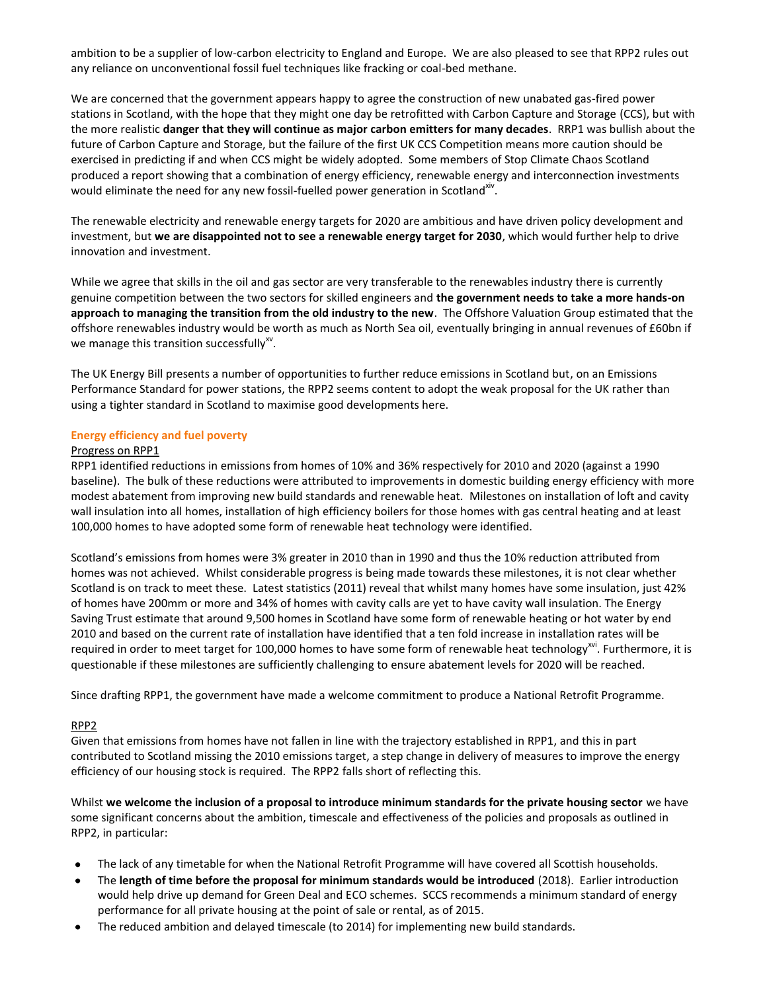ambition to be a supplier of low-carbon electricity to England and Europe. We are also pleased to see that RPP2 rules out any reliance on unconventional fossil fuel techniques like fracking or coal-bed methane.

We are concerned that the government appears happy to agree the construction of new unabated gas-fired power stations in Scotland, with the hope that they might one day be retrofitted with Carbon Capture and Storage (CCS), but with the more realistic **danger that they will continue as major carbon emitters for many decades**. RRP1 was bullish about the future of Carbon Capture and Storage, but the failure of the first UK CCS Competition means more caution should be exercised in predicting if and when CCS might be widely adopted. Some members of Stop Climate Chaos Scotland produced a report showing that a combination of energy efficiency, renewable energy and interconnection investments would eliminate the need for any new fossil-fuelled power generation in Scotland<sup>xiv</sup>.

The renewable electricity and renewable energy targets for 2020 are ambitious and have driven policy development and investment, but **we are disappointed not to see a renewable energy target for 2030**, which would further help to drive innovation and investment.

While we agree that skills in the oil and gas sector are very transferable to the renewables industry there is currently genuine competition between the two sectors for skilled engineers and **the government needs to take a more hands-on approach to managing the transition from the old industry to the new**. The Offshore Valuation Group estimated that the offshore renewables industry would be worth as much as North Sea oil, eventually bringing in annual revenues of £60bn if we manage this transition successfully<sup>xv</sup>.

The UK Energy Bill presents a number of opportunities to further reduce emissions in Scotland but, on an Emissions Performance Standard for power stations, the RPP2 seems content to adopt the weak proposal for the UK rather than using a tighter standard in Scotland to maximise good developments here.

# **Energy efficiency and fuel poverty**

# Progress on RPP1

RPP1 identified reductions in emissions from homes of 10% and 36% respectively for 2010 and 2020 (against a 1990 baseline). The bulk of these reductions were attributed to improvements in domestic building energy efficiency with more modest abatement from improving new build standards and renewable heat. Milestones on installation of loft and cavity wall insulation into all homes, installation of high efficiency boilers for those homes with gas central heating and at least 100,000 homes to have adopted some form of renewable heat technology were identified.

Scotland's emissions from homes were 3% greater in 2010 than in 1990 and thus the 10% reduction attributed from homes was not achieved. Whilst considerable progress is being made towards these milestones, it is not clear whether Scotland is on track to meet these. Latest statistics (2011) reveal that whilst many homes have some insulation, just 42% of homes have 200mm or more and 34% of homes with cavity calls are yet to have cavity wall insulation. The Energy Saving Trust estimate that around 9,500 homes in Scotland have some form of renewable heating or hot water by end 2010 and based on the current rate of installation have identified that a ten fold increase in installation rates will be required in order to meet target for 100,000 homes to have some form of renewable heat technology<sup>xvi</sup>. Furthermore, it is questionable if these milestones are sufficiently challenging to ensure abatement levels for 2020 will be reached.

Since drafting RPP1, the government have made a welcome commitment to produce a National Retrofit Programme.

# RPP2

Given that emissions from homes have not fallen in line with the trajectory established in RPP1, and this in part contributed to Scotland missing the 2010 emissions target, a step change in delivery of measures to improve the energy efficiency of our housing stock is required. The RPP2 falls short of reflecting this.

Whilst **we welcome the inclusion of a proposal to introduce minimum standards for the private housing sector** we have some significant concerns about the ambition, timescale and effectiveness of the policies and proposals as outlined in RPP2, in particular:

- The lack of any timetable for when the National Retrofit Programme will have covered all Scottish households.
- The **length of time before the proposal for minimum standards would be introduced** (2018). Earlier introduction  $\bullet$ would help drive up demand for Green Deal and ECO schemes. SCCS recommends a minimum standard of energy performance for all private housing at the point of sale or rental, as of 2015.
- The reduced ambition and delayed timescale (to 2014) for implementing new build standards.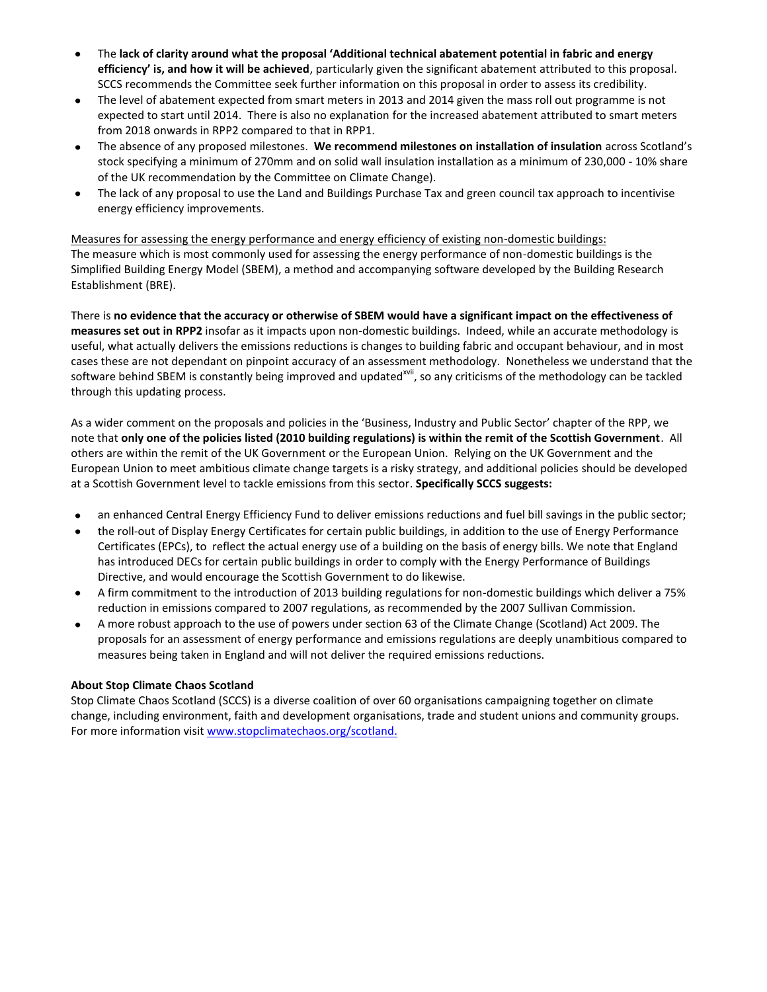- The **lack of clarity around what the proposal 'Additional technical abatement potential in fabric and energy**   $\bullet$ **efficiency' is, and how it will be achieved**, particularly given the significant abatement attributed to this proposal. SCCS recommends the Committee seek further information on this proposal in order to assess its credibility.
- The level of abatement expected from smart meters in 2013 and 2014 given the mass roll out programme is not expected to start until 2014. There is also no explanation for the increased abatement attributed to smart meters from 2018 onwards in RPP2 compared to that in RPP1.
- The absence of any proposed milestones. **We recommend milestones on installation of insulation** across Scotland's  $\bullet$ stock specifying a minimum of 270mm and on solid wall insulation installation as a minimum of 230,000 - 10% share of the UK recommendation by the Committee on Climate Change).
- The lack of any proposal to use the Land and Buildings Purchase Tax and green council tax approach to incentivise  $\bullet$ energy efficiency improvements.

Measures for assessing the energy performance and energy efficiency of existing non-domestic buildings: The measure which is most commonly used for assessing the energy performance of non-domestic buildings is the Simplified Building Energy Model (SBEM), a method and accompanying software developed by the Building Research Establishment (BRE).

There is **no evidence that the accuracy or otherwise of SBEM would have a significant impact on the effectiveness of measures set out in RPP2** insofar as it impacts upon non-domestic buildings. Indeed, while an accurate methodology is useful, what actually delivers the emissions reductions is changes to building fabric and occupant behaviour, and in most cases these are not dependant on pinpoint accuracy of an assessment methodology. Nonetheless we understand that the software behind SBEM is constantly being improved and updated<sup>xvii</sup>, so any criticisms of the methodology can be tackled through this updating process.

As a wider comment on the proposals and policies in the 'Business, Industry and Public Sector' chapter of the RPP, we note that **only one of the policies listed (2010 building regulations) is within the remit of the Scottish Government**. All others are within the remit of the UK Government or the European Union. Relying on the UK Government and the European Union to meet ambitious climate change targets is a risky strategy, and additional policies should be developed at a Scottish Government level to tackle emissions from this sector. **Specifically SCCS suggests:**

- $\bullet$ an enhanced Central Energy Efficiency Fund to deliver emissions reductions and fuel bill savings in the public sector;
- the roll-out of Display Energy Certificates for certain public buildings, in addition to the use of Energy Performance  $\bullet$ Certificates (EPCs), to reflect the actual energy use of a building on the basis of energy bills. We note that England has introduced DECs for certain public buildings in order to comply with the Energy Performance of Buildings Directive, and would encourage the Scottish Government to do likewise.
- A firm commitment to the introduction of 2013 building regulations for non-domestic buildings which deliver a 75% reduction in emissions compared to 2007 regulations, as recommended by the 2007 Sullivan Commission.
- $\bullet$ A more robust approach to the use of powers under section 63 of the Climate Change (Scotland) Act 2009. The proposals for an assessment of energy performance and emissions regulations are deeply unambitious compared to measures being taken in England and will not deliver the required emissions reductions.

# **About Stop Climate Chaos Scotland**

Stop Climate Chaos Scotland (SCCS) is a diverse coalition of over 60 organisations campaigning together on climate change, including environment, faith and development organisations, trade and student unions and community groups. For more information visit [www.stopclimatechaos.org/scotland.](http://www.stopclimatechaos.org/scotland)